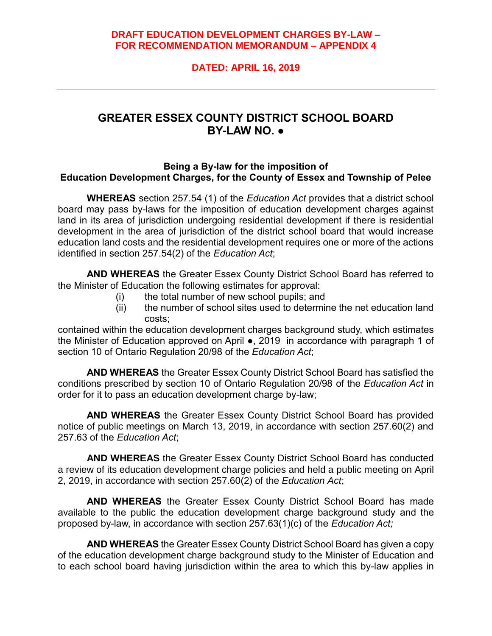## **DRAFT EDUCATION DEVELOPMENT CHARGES BY-LAW – FOR RECOMMENDATION MEMORANDUM – APPENDIX 4**

# **DATED: APRIL 16, 2019**

# **GREATER ESSEX COUNTY DISTRICT SCHOOL BOARD BY-LAW NO. ●**

### **Being a By-law for the imposition of Education Development Charges, for the County of Essex and Township of Pelee**

**WHEREAS** section 257.54 (1) of the *Education Act* provides that a district school board may pass by-laws for the imposition of education development charges against land in its area of jurisdiction undergoing residential development if there is residential development in the area of jurisdiction of the district school board that would increase education land costs and the residential development requires one or more of the actions identified in section 257.54(2) of the *Education Act*;

**AND WHEREAS** the Greater Essex County District School Board has referred to the Minister of Education the following estimates for approval:

- (i) the total number of new school pupils; and
- $(iii)$  the number of school sites used to determine the net education land costs;

contained within the education development charges background study, which estimates the Minister of Education approved on April ●, 2019 in accordance with paragraph 1 of section 10 of Ontario Regulation 20/98 of the *Education Act*;

**AND WHEREAS** the Greater Essex County District School Board has satisfied the conditions prescribed by section 10 of Ontario Regulation 20/98 of the *Education Act* in order for it to pass an education development charge by-law;

**AND WHEREAS** the Greater Essex County District School Board has provided notice of public meetings on March 13, 2019, in accordance with section 257.60(2) and 257.63 of the *Education Act*;

**AND WHEREAS** the Greater Essex County District School Board has conducted a review of its education development charge policies and held a public meeting on April 2, 2019, in accordance with section 257.60(2) of the *Education Act*;

**AND WHEREAS** the Greater Essex County District School Board has made available to the public the education development charge background study and the proposed by-law, in accordance with section 257.63(1)(c) of the *Education Act;*

**AND WHEREAS** the Greater Essex County District School Board has given a copy of the education development charge background study to the Minister of Education and to each school board having jurisdiction within the area to which this by-law applies in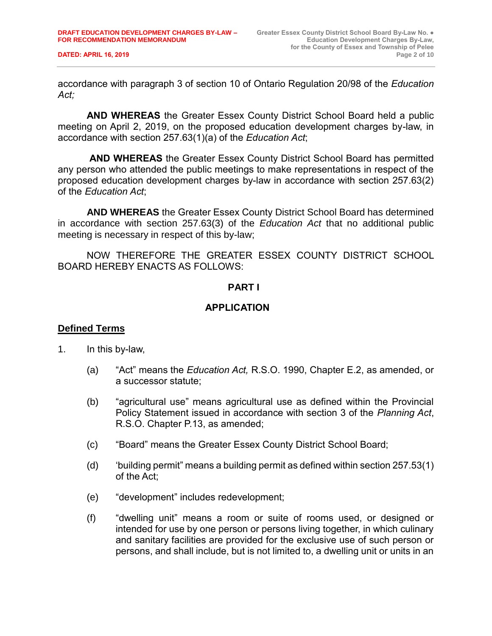accordance with paragraph 3 of section 10 of Ontario Regulation 20/98 of the *Education Act;*

**AND WHEREAS** the Greater Essex County District School Board held a public meeting on April 2, 2019, on the proposed education development charges by-law, in accordance with section 257.63(1)(a) of the *Education Act*;

**AND WHEREAS** the Greater Essex County District School Board has permitted any person who attended the public meetings to make representations in respect of the proposed education development charges by-law in accordance with section 257.63(2) of the *Education Act*;

**AND WHEREAS** the Greater Essex County District School Board has determined in accordance with section 257.63(3) of the *Education Act* that no additional public meeting is necessary in respect of this by-law;

NOW THEREFORE THE GREATER ESSEX COUNTY DISTRICT SCHOOL BOARD HEREBY ENACTS AS FOLLOWS:

## **PART I**

## **APPLICATION**

#### **Defined Terms**

- 1. In this by-law,
	- (a) "Act" means the *Education Act,* R.S.O. 1990, Chapter E.2, as amended, or a successor statute;
	- (b) "agricultural use" means agricultural use as defined within the Provincial Policy Statement issued in accordance with section 3 of the *Planning Act*, R.S.O. Chapter P.13, as amended;
	- (c) "Board" means the Greater Essex County District School Board;
	- (d) 'building permit" means a building permit as defined within section 257.53(1) of the Act;
	- (e) "development" includes redevelopment;
	- (f) "dwelling unit" means a room or suite of rooms used, or designed or intended for use by one person or persons living together, in which culinary and sanitary facilities are provided for the exclusive use of such person or persons, and shall include, but is not limited to, a dwelling unit or units in an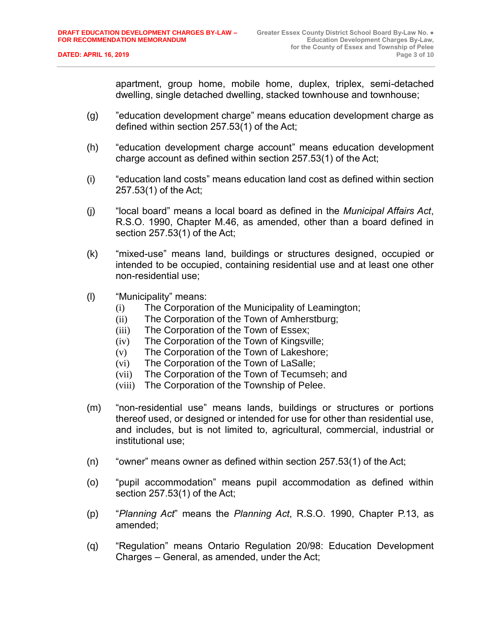apartment, group home, mobile home, duplex, triplex, semi-detached dwelling, single detached dwelling, stacked townhouse and townhouse;

- (g) "education development charge" means education development charge as defined within section 257.53(1) of the Act;
- (h) "education development charge account" means education development charge account as defined within section 257.53(1) of the Act;
- (i) "education land costs" means education land cost as defined within section 257.53(1) of the Act;
- (j) "local board" means a local board as defined in the *Municipal Affairs Act*, R.S.O. 1990, Chapter M.46, as amended, other than a board defined in section 257.53(1) of the Act;
- (k) "mixed-use" means land, buildings or structures designed, occupied or intended to be occupied, containing residential use and at least one other non-residential use;
- (l) "Municipality" means:
	- (i) The Corporation of the Municipality of Leamington;
	- (ii) The Corporation of the Town of Amherstburg;
	- (iii) The Corporation of the Town of Essex;
	- (iv) The Corporation of the Town of Kingsville;
	- (v) The Corporation of the Town of Lakeshore;
	- (vi) The Corporation of the Town of LaSalle;
	- (vii) The Corporation of the Town of Tecumseh; and
	- (viii) The Corporation of the Township of Pelee.
- (m) "non-residential use" means lands, buildings or structures or portions thereof used, or designed or intended for use for other than residential use, and includes, but is not limited to, agricultural, commercial, industrial or institutional use;
- (n) "owner" means owner as defined within section 257.53(1) of the Act;
- (o) "pupil accommodation" means pupil accommodation as defined within section 257.53(1) of the Act;
- (p) "*Planning Act*" means the *Planning Act*, R.S.O. 1990, Chapter P.13, as amended;
- (q) "Regulation" means Ontario Regulation 20/98: Education Development Charges – General, as amended, under the Act;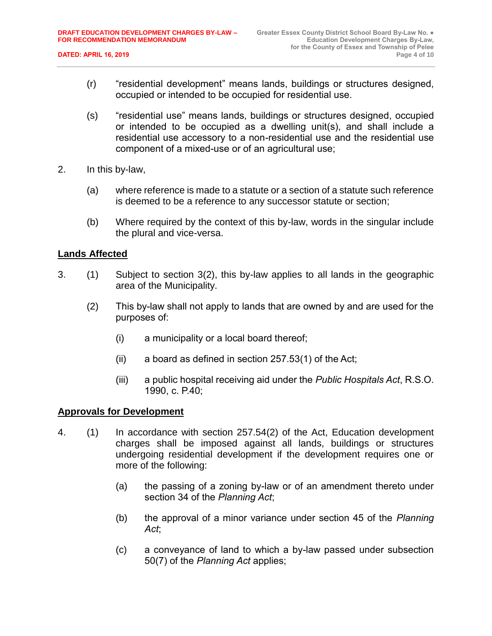- (r) "residential development" means lands, buildings or structures designed, occupied or intended to be occupied for residential use.
- (s) "residential use" means lands, buildings or structures designed, occupied or intended to be occupied as a dwelling unit(s), and shall include a residential use accessory to a non-residential use and the residential use component of a mixed-use or of an agricultural use;
- 2. In this by-law,
	- (a) where reference is made to a statute or a section of a statute such reference is deemed to be a reference to any successor statute or section;
	- (b) Where required by the context of this by-law, words in the singular include the plural and vice-versa.

# **Lands Affected**

- 3. (1) Subject to section 3(2), this by-law applies to all lands in the geographic area of the Municipality.
	- (2) This by-law shall not apply to lands that are owned by and are used for the purposes of:
		- (i) a municipality or a local board thereof;
		- $(ii)$  a board as defined in section 257.53(1) of the Act;
		- (iii) a public hospital receiving aid under the *Public Hospitals Act*, R.S.O. 1990, c. P.40;

#### **Approvals for Development**

- 4. (1) In accordance with section 257.54(2) of the Act, Education development charges shall be imposed against all lands, buildings or structures undergoing residential development if the development requires one or more of the following:
	- (a) the passing of a zoning by-law or of an amendment thereto under section 34 of the *Planning Act*;
	- (b) the approval of a minor variance under section 45 of the *Planning Act*;
	- (c) a conveyance of land to which a by-law passed under subsection 50(7) of the *Planning Act* applies;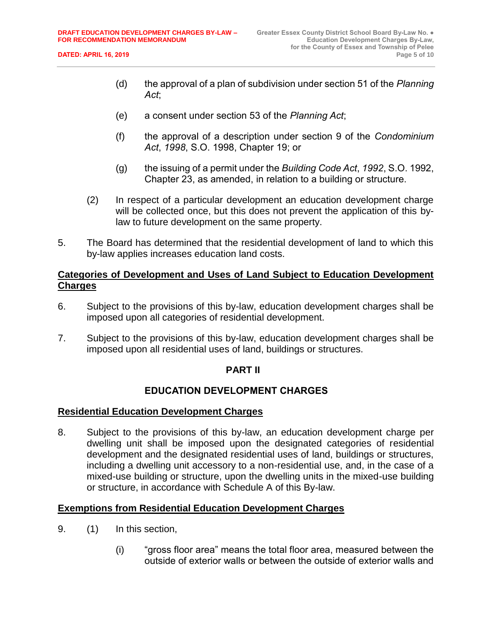- (d) the approval of a plan of subdivision under section 51 of the *Planning Act*;
- (e) a consent under section 53 of the *Planning Act*;
- (f) the approval of a description under section 9 of the *Condominium Act*, *1998*, S.O. 1998, Chapter 19; or
- (g) the issuing of a permit under the *Building Code Act*, *1992*, S.O. 1992, Chapter 23, as amended, in relation to a building or structure.
- (2) In respect of a particular development an education development charge will be collected once, but this does not prevent the application of this bylaw to future development on the same property.
- 5. The Board has determined that the residential development of land to which this by-law applies increases education land costs.

# **Categories of Development and Uses of Land Subject to Education Development Charges**

- 6. Subject to the provisions of this by-law, education development charges shall be imposed upon all categories of residential development.
- 7. Subject to the provisions of this by-law, education development charges shall be imposed upon all residential uses of land, buildings or structures.

#### **PART II**

# **EDUCATION DEVELOPMENT CHARGES**

#### **Residential Education Development Charges**

8. Subject to the provisions of this by-law, an education development charge per dwelling unit shall be imposed upon the designated categories of residential development and the designated residential uses of land, buildings or structures, including a dwelling unit accessory to a non-residential use, and, in the case of a mixed-use building or structure, upon the dwelling units in the mixed-use building or structure, in accordance with Schedule A of this By-law.

#### **Exemptions from Residential Education Development Charges**

- 9. (1) In this section,
	- (i) "gross floor area" means the total floor area, measured between the outside of exterior walls or between the outside of exterior walls and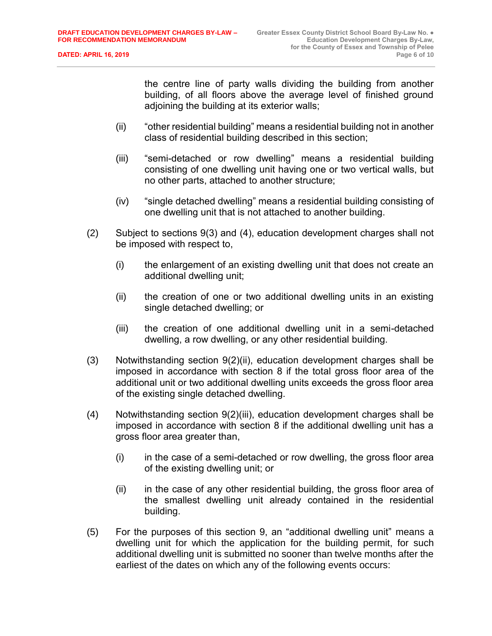the centre line of party walls dividing the building from another building, of all floors above the average level of finished ground adjoining the building at its exterior walls;

- (ii) "other residential building" means a residential building not in another class of residential building described in this section;
- (iii) "semi-detached or row dwelling" means a residential building consisting of one dwelling unit having one or two vertical walls, but no other parts, attached to another structure;
- (iv) "single detached dwelling" means a residential building consisting of one dwelling unit that is not attached to another building.
- (2) Subject to sections 9(3) and (4), education development charges shall not be imposed with respect to,
	- (i) the enlargement of an existing dwelling unit that does not create an additional dwelling unit;
	- (ii) the creation of one or two additional dwelling units in an existing single detached dwelling; or
	- (iii) the creation of one additional dwelling unit in a semi-detached dwelling, a row dwelling, or any other residential building.
- (3) Notwithstanding section 9(2)(ii), education development charges shall be imposed in accordance with section 8 if the total gross floor area of the additional unit or two additional dwelling units exceeds the gross floor area of the existing single detached dwelling.
- (4) Notwithstanding section 9(2)(iii), education development charges shall be imposed in accordance with section 8 if the additional dwelling unit has a gross floor area greater than,
	- (i) in the case of a semi-detached or row dwelling, the gross floor area of the existing dwelling unit; or
	- (ii) in the case of any other residential building, the gross floor area of the smallest dwelling unit already contained in the residential building.
- (5) For the purposes of this section 9, an "additional dwelling unit" means a dwelling unit for which the application for the building permit, for such additional dwelling unit is submitted no sooner than twelve months after the earliest of the dates on which any of the following events occurs: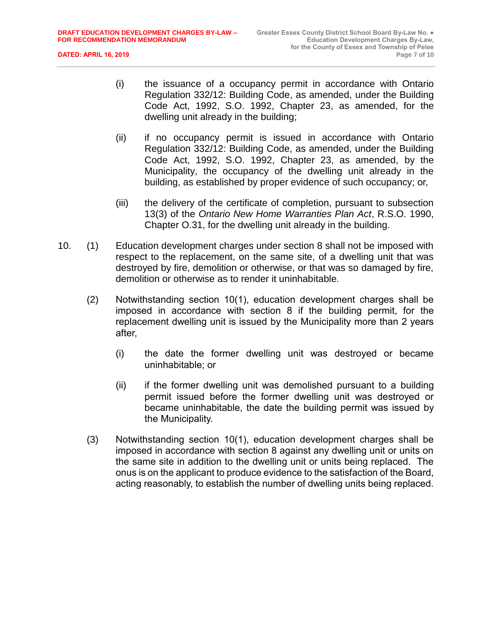- (i) the issuance of a occupancy permit in accordance with Ontario Regulation 332/12: Building Code, as amended, under the Building Code Act, 1992, S.O. 1992, Chapter 23, as amended, for the dwelling unit already in the building;
- (ii) if no occupancy permit is issued in accordance with Ontario Regulation 332/12: Building Code, as amended, under the Building Code Act, 1992, S.O. 1992, Chapter 23, as amended, by the Municipality, the occupancy of the dwelling unit already in the building, as established by proper evidence of such occupancy; or,
- (iii) the delivery of the certificate of completion, pursuant to subsection 13(3) of the *Ontario New Home Warranties Plan Act*, R.S.O. 1990, Chapter O.31, for the dwelling unit already in the building.
- 10. (1) Education development charges under section 8 shall not be imposed with respect to the replacement, on the same site, of a dwelling unit that was destroyed by fire, demolition or otherwise, or that was so damaged by fire, demolition or otherwise as to render it uninhabitable.
	- (2) Notwithstanding section 10(1), education development charges shall be imposed in accordance with section 8 if the building permit, for the replacement dwelling unit is issued by the Municipality more than 2 years after,
		- (i) the date the former dwelling unit was destroyed or became uninhabitable; or
		- (ii) if the former dwelling unit was demolished pursuant to a building permit issued before the former dwelling unit was destroyed or became uninhabitable, the date the building permit was issued by the Municipality.
	- (3) Notwithstanding section 10(1), education development charges shall be imposed in accordance with section 8 against any dwelling unit or units on the same site in addition to the dwelling unit or units being replaced. The onus is on the applicant to produce evidence to the satisfaction of the Board, acting reasonably, to establish the number of dwelling units being replaced.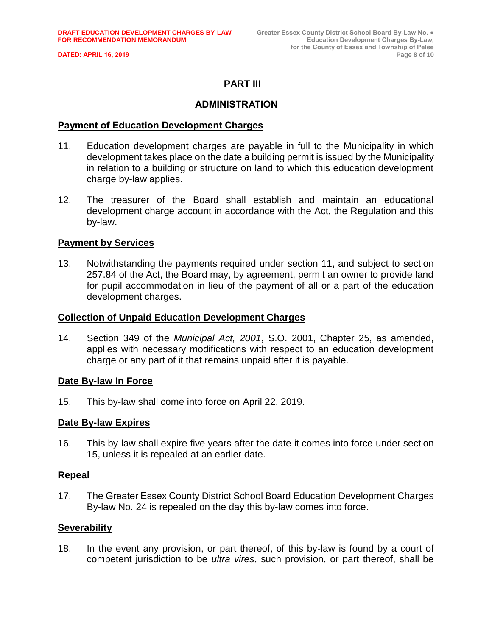# **PART III**

#### **ADMINISTRATION**

#### **Payment of Education Development Charges**

- 11. Education development charges are payable in full to the Municipality in which development takes place on the date a building permit is issued by the Municipality in relation to a building or structure on land to which this education development charge by-law applies.
- 12. The treasurer of the Board shall establish and maintain an educational development charge account in accordance with the Act, the Regulation and this by-law.

#### **Payment by Services**

13. Notwithstanding the payments required under section 11, and subject to section 257.84 of the Act, the Board may, by agreement, permit an owner to provide land for pupil accommodation in lieu of the payment of all or a part of the education development charges.

#### **Collection of Unpaid Education Development Charges**

14. Section 349 of the *Municipal Act, 2001*, S.O. 2001, Chapter 25, as amended, applies with necessary modifications with respect to an education development charge or any part of it that remains unpaid after it is payable.

#### **Date By-law In Force**

15. This by-law shall come into force on April 22, 2019.

#### **Date By-law Expires**

16. This by-law shall expire five years after the date it comes into force under section 15, unless it is repealed at an earlier date.

#### **Repeal**

17. The Greater Essex County District School Board Education Development Charges By-law No. 24 is repealed on the day this by-law comes into force.

#### **Severability**

18. In the event any provision, or part thereof, of this by-law is found by a court of competent jurisdiction to be *ultra vires*, such provision, or part thereof, shall be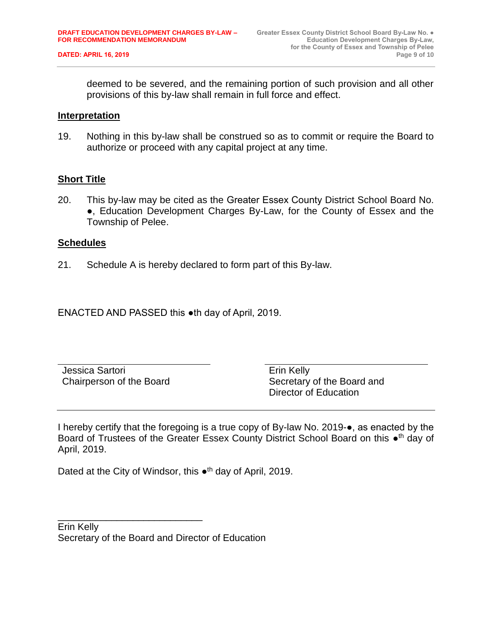deemed to be severed, and the remaining portion of such provision and all other provisions of this by-law shall remain in full force and effect.

#### **Interpretation**

19. Nothing in this by-law shall be construed so as to commit or require the Board to authorize or proceed with any capital project at any time.

#### **Short Title**

20. This by-law may be cited as the Greater Essex County District School Board No. ●, Education Development Charges By-Law, for the County of Essex and the Township of Pelee.

#### **Schedules**

21. Schedule A is hereby declared to form part of this By-law.

ENACTED AND PASSED this ●th day of April, 2019.

Jessica Sartori Chairperson of the Board Erin Kelly Secretary of the Board and Director of Education

I hereby certify that the foregoing is a true copy of By-law No. 2019-●, as enacted by the Board of Trustees of the Greater Essex County District School Board on this •<sup>th</sup> day of April, 2019.

Dated at the City of Windsor, this •<sup>th</sup> day of April, 2019.

Erin Kelly Secretary of the Board and Director of Education

\_\_\_\_\_\_\_\_\_\_\_\_\_\_\_\_\_\_\_\_\_\_\_\_\_\_\_